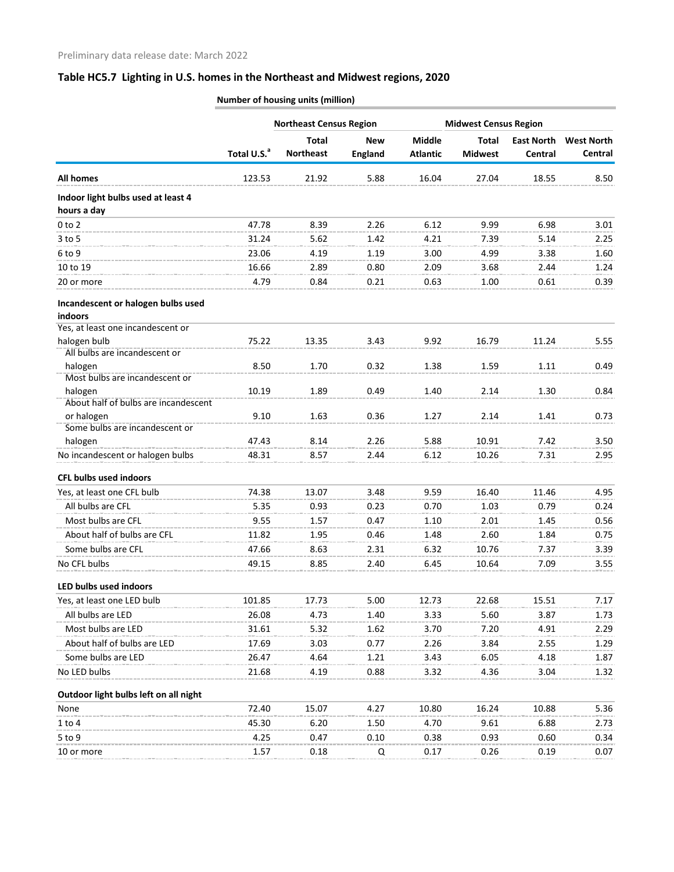## **Table HC5.7 Lighting in U.S. homes in the Northeast and Midwest regions, 2020**

|                                               | Total U.S. <sup>a</sup> | <b>Northeast Census Region</b> |                |                 | <b>Midwest Census Region</b> |                   |                   |
|-----------------------------------------------|-------------------------|--------------------------------|----------------|-----------------|------------------------------|-------------------|-------------------|
|                                               |                         | <b>Total</b>                   | <b>New</b>     | <b>Middle</b>   | <b>Total</b>                 | <b>East North</b> | <b>West North</b> |
|                                               |                         | <b>Northeast</b>               | <b>England</b> | <b>Atlantic</b> | <b>Midwest</b>               | Central           | Central           |
| <b>All homes</b>                              | 123.53                  | 21.92                          | 5.88           | 16.04           | 27.04                        | 18.55             | 8.50              |
| Indoor light bulbs used at least 4            |                         |                                |                |                 |                              |                   |                   |
| hours a day                                   |                         |                                |                |                 |                              |                   |                   |
| $0$ to $2$                                    | 47.78                   | 8.39                           | 2.26           | 6.12            | 9.99                         | 6.98              | 3.01              |
| $3$ to 5                                      | 31.24                   | 5.62                           | 1.42           | 4.21            | 7.39                         | 5.14              | 2.25              |
| 6 to 9                                        | 23.06                   | 4.19                           | 1.19           | 3.00            | 4.99                         | 3.38              | 1.60              |
| 10 to 19                                      | 16.66                   | 2.89                           | 0.80           | 2.09            | 3.68                         | 2.44              | 1.24              |
| 20 or more                                    | 4.79                    | 0.84                           | 0.21           | 0.63            | 1.00                         | 0.61              | 0.39              |
| Incandescent or halogen bulbs used<br>indoors |                         |                                |                |                 |                              |                   |                   |
| Yes, at least one incandescent or             |                         |                                |                |                 |                              |                   |                   |
| halogen bulb                                  | 75.22                   | 13.35                          | 3.43           | 9.92            | 16.79                        | 11.24             | 5.55              |
| All bulbs are incandescent or<br>halogen      | 8.50                    | 1.70                           | 0.32           | 1.38            | 1.59                         | 1.11              | 0.49              |
| Most bulbs are incandescent or                |                         |                                |                |                 |                              |                   |                   |
| halogen                                       | 10.19                   | 1.89                           | 0.49           | 1.40            | 2.14                         | 1.30              | 0.84              |
| About half of bulbs are incandescent          |                         |                                |                |                 |                              |                   |                   |
| or halogen                                    | 9.10                    | 1.63                           | 0.36           | 1.27            | 2.14                         | 1.41              | 0.73              |
| Some bulbs are incandescent or                |                         |                                |                |                 |                              |                   |                   |
| halogen                                       | 47.43                   | 8.14                           | 2.26           | 5.88            | 10.91                        | 7.42              | 3.50              |
| No incandescent or halogen bulbs              | 48.31                   | 8.57                           | 2.44           | 6.12            | 10.26                        | 7.31              | 2.95              |
| <b>CFL bulbs used indoors</b>                 |                         |                                |                |                 |                              |                   |                   |
| Yes, at least one CFL bulb                    | 74.38                   | 13.07                          | 3.48           | 9.59            | 16.40                        | 11.46             | 4.95              |
| All bulbs are CFL                             | 5.35                    | 0.93                           | 0.23           | 0.70            | 1.03                         | 0.79              | 0.24              |
| Most bulbs are CFL                            | 9.55                    | 1.57                           | 0.47           | 1.10            | 2.01                         | 1.45              | 0.56              |
| About half of bulbs are CFL                   | 11.82                   | 1.95                           | 0.46           | 1.48            | 2.60                         | 1.84              | 0.75              |
| Some bulbs are CFL                            | 47.66                   | 8.63                           | 2.31           | 6.32            | 10.76                        | 7.37              | 3.39              |
| No CFL bulbs                                  | 49.15                   | 8.85                           | 2.40           | 6.45            | 10.64                        | 7.09              | 3.55              |
| LED bulbs used indoors                        |                         |                                |                |                 |                              |                   |                   |
| Yes, at least one LED bulb                    | 101.85                  | 17.73                          | 5.00           | 12.73           | 22.68                        | 15.51             | 7.17              |
| All bulbs are LED                             | 26.08                   | 4.73                           | 1.40           | 3.33            | 5.60                         | 3.87              | 1.73              |
| Most bulbs are LED                            | 31.61                   | 5.32                           | 1.62           | 3.70            | 7.20                         | 4.91              | 2.29              |
| About half of bulbs are LED                   | 17.69                   | 3.03                           | 0.77           | 2.26            | 3.84                         | 2.55              | 1.29              |
| Some bulbs are LED                            | 26.47                   | 4.64                           | 1.21           | 3.43            | 6.05                         | 4.18              | 1.87              |
| No LED bulbs                                  | 21.68                   | 4.19                           | 0.88           | 3.32            | 4.36                         | 3.04              | 1.32              |
|                                               |                         |                                |                |                 |                              |                   |                   |
| Outdoor light bulbs left on all night         |                         |                                |                |                 |                              |                   |                   |
| None                                          | 72.40                   | 15.07                          | 4.27           | 10.80           | 16.24                        | 10.88             | 5.36              |
| $1$ to $4$                                    | 45.30                   | 6.20                           | 1.50           | 4.70            | 9.61                         | 6.88              | 2.73              |
| $5$ to 9                                      | 4.25                    | 0.47                           | 0.10           | 0.38            | 0.93                         | 0.60              | 0.34              |
| 10 or more                                    | 1.57                    | 0.18                           | Q              | 0.17            | 0.26                         | 0.19              | 0.07              |

**Number of housing units (million)**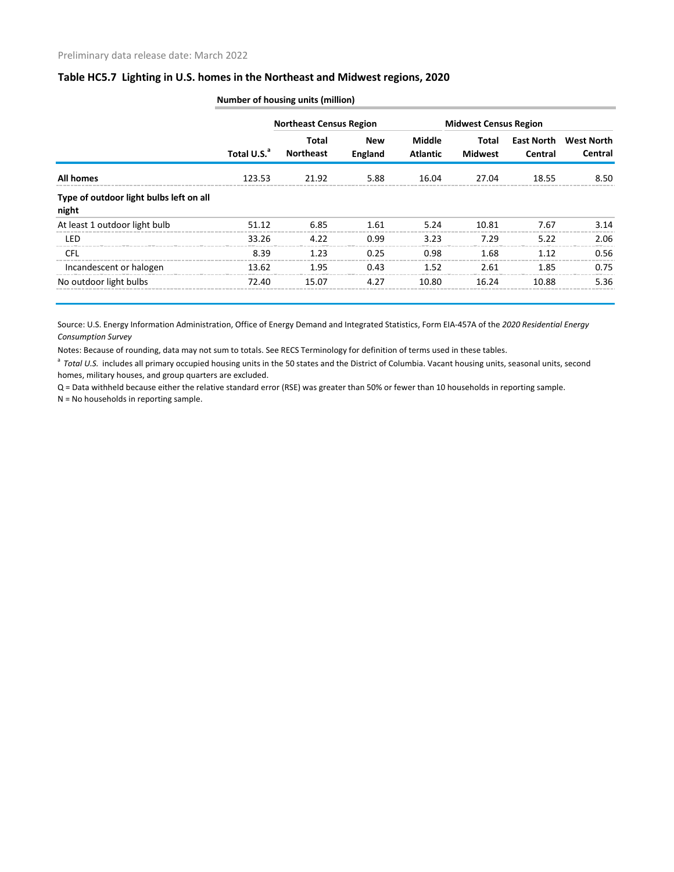## **Table HC5.7 Lighting in U.S. homes in the Northeast and Midwest regions, 2020**

|                                                  | Total U.S. <sup>a</sup> | <b>Northeast Census Region</b> |                              |                                  | <b>Midwest Census Region</b> |                              |                                     |  |
|--------------------------------------------------|-------------------------|--------------------------------|------------------------------|----------------------------------|------------------------------|------------------------------|-------------------------------------|--|
|                                                  |                         | Total<br><b>Northeast</b>      | <b>New</b><br><b>England</b> | <b>Middle</b><br><b>Atlantic</b> | Total<br><b>Midwest</b>      | <b>East North</b><br>Central | <b>West North</b><br><b>Central</b> |  |
| <b>All homes</b>                                 | 123.53                  | 21.92                          | 5.88                         | 16.04                            | 27.04                        | 18.55                        | 8.50                                |  |
| Type of outdoor light bulbs left on all<br>night |                         |                                |                              |                                  |                              |                              |                                     |  |
| At least 1 outdoor light bulb                    | 51.12                   | 6.85                           | 1.61                         | 5.24                             | 10.81                        | 7.67                         | 3.14                                |  |
| <b>LED</b>                                       | 33.26                   | 4.22                           | 0.99                         | 3.23                             | 7.29                         | 5.22                         | 2.06                                |  |
| <b>CFL</b>                                       | 8.39                    | 1.23                           | 0.25                         | 0.98                             | 1.68                         | 1.12                         | 0.56                                |  |
| Incandescent or halogen                          | 13.62                   | 1.95                           | 0.43                         | 1.52                             | 2.61                         | 1.85                         | 0.75                                |  |
| No outdoor light bulbs                           | 72.40                   | 15.07                          | 4.27                         | 10.80                            | 16.24                        | 10.88                        | 5.36                                |  |

**Number of housing units (million)**

Source: U.S. Energy Information Administration, Office of Energy Demand and Integrated Statistics, Form EIA-457A of the *2020 Residential Energy Consumption Survey*

Notes: Because of rounding, data may not sum to totals. See RECS Terminology for definition of terms used in these tables.

<sup>a</sup> Total U.S. includes all primary occupied housing units in the 50 states and the District of Columbia. Vacant housing units, seasonal units, second homes, military houses, and group quarters are excluded.

Q = Data withheld because either the relative standard error (RSE) was greater than 50% or fewer than 10 households in reporting sample.

N = No households in reporting sample.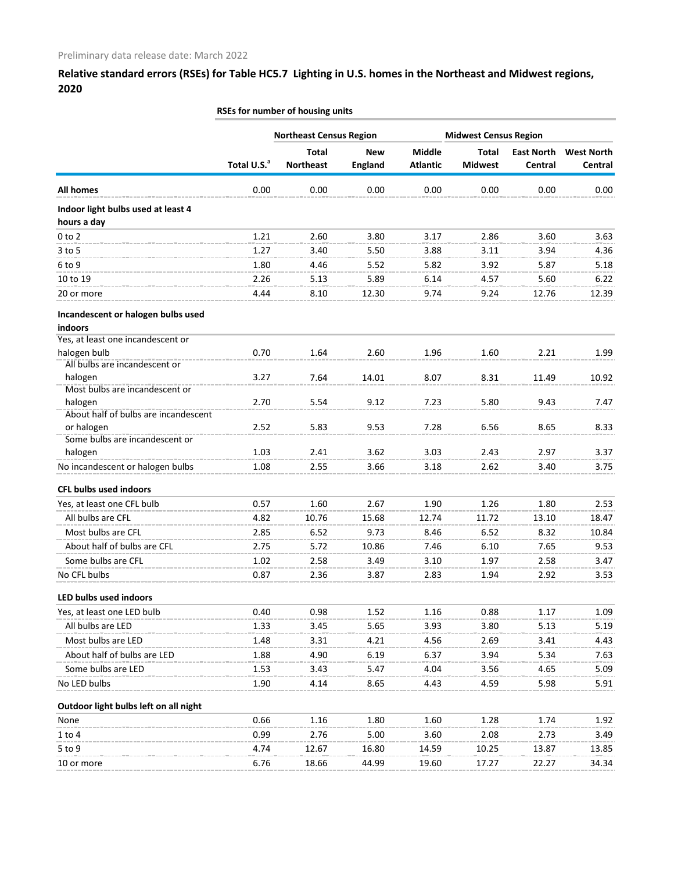**Relative standard errors (RSEs) for Table HC5.7 Lighting in U.S. homes in the Northeast and Midwest regions, 2020**

|                                                 |                         | <b>Northeast Census Region</b>   |                              | <b>Midwest Census Region</b>     |                                |                              |                              |
|-------------------------------------------------|-------------------------|----------------------------------|------------------------------|----------------------------------|--------------------------------|------------------------------|------------------------------|
|                                                 | Total U.S. <sup>a</sup> | <b>Total</b><br><b>Northeast</b> | <b>New</b><br><b>England</b> | <b>Middle</b><br><b>Atlantic</b> | <b>Total</b><br><b>Midwest</b> | <b>East North</b><br>Central | <b>West North</b><br>Central |
|                                                 |                         |                                  |                              |                                  |                                |                              |                              |
| <b>All homes</b>                                | 0.00                    | 0.00                             | 0.00                         | 0.00                             | 0.00                           | 0.00                         | 0.00                         |
| Indoor light bulbs used at least 4              |                         |                                  |                              |                                  |                                |                              |                              |
| hours a day                                     |                         |                                  |                              |                                  |                                |                              |                              |
| $0$ to $2$                                      | 1.21                    | 2.60                             | 3.80                         | 3.17                             | 2.86                           | 3.60                         | 3.63                         |
| 3 to 5                                          | 1.27                    | 3.40                             | 5.50                         | 3.88                             | 3.11                           | 3.94                         | 4.36                         |
| 6 to 9                                          | 1.80                    | 4.46                             | 5.52                         | 5.82                             | 3.92                           | 5.87                         | 5.18                         |
| 10 to 19                                        | 2.26                    | 5.13                             | 5.89                         | 6.14                             | 4.57                           | 5.60                         | 6.22                         |
| 20 or more                                      | 4.44                    | 8.10                             | 12.30                        | 9.74                             | 9.24                           | 12.76                        | 12.39                        |
| Incandescent or halogen bulbs used<br>indoors   |                         |                                  |                              |                                  |                                |                              |                              |
| Yes, at least one incandescent or               |                         |                                  |                              |                                  |                                |                              |                              |
| halogen bulb                                    | 0.70                    | 1.64                             | 2.60                         | 1.96                             | 1.60                           | 2.21                         | 1.99                         |
| All bulbs are incandescent or                   |                         |                                  |                              |                                  |                                |                              |                              |
| halogen                                         | 3.27                    | 7.64                             | 14.01                        | 8.07                             | 8.31                           | 11.49                        | 10.92                        |
| Most bulbs are incandescent or                  |                         |                                  |                              |                                  |                                |                              |                              |
| halogen<br>About half of bulbs are incandescent | 2.70                    | 5.54                             | 9.12                         | 7.23                             | 5.80                           | 9.43                         | 7.47                         |
| or halogen                                      | 2.52                    | 5.83                             | 9.53                         | 7.28                             | 6.56                           | 8.65                         | 8.33                         |
| Some bulbs are incandescent or                  |                         |                                  |                              |                                  |                                |                              |                              |
| halogen                                         | 1.03                    | 2.41                             | 3.62                         | 3.03                             | 2.43                           | 2.97                         | 3.37                         |
| No incandescent or halogen bulbs                | 1.08                    | 2.55                             | 3.66                         | 3.18                             | 2.62                           | 3.40                         | 3.75                         |
| <b>CFL bulbs used indoors</b>                   |                         |                                  |                              |                                  |                                |                              |                              |
| Yes, at least one CFL bulb                      | 0.57                    | 1.60                             | 2.67                         | 1.90                             | 1.26                           | 1.80                         | 2.53                         |
| All bulbs are CFL                               | 4.82                    | 10.76                            | 15.68                        | 12.74                            | 11.72                          | 13.10                        | 18.47                        |
| Most bulbs are CFL                              | 2.85                    | 6.52                             | 9.73                         | 8.46                             | 6.52                           | 8.32                         | 10.84                        |
| About half of bulbs are CFL                     | 2.75                    | 5.72                             | 10.86                        | 7.46                             | 6.10                           | 7.65                         | 9.53                         |
| Some bulbs are CFL                              | 1.02                    | 2.58                             | 3.49                         | 3.10                             | 1.97                           | 2.58                         | 3.47                         |
| No CFL bulbs                                    | 0.87                    | 2.36                             | 3.87                         | 2.83                             | 1.94                           | 2.92                         | 3.53                         |
| LED bulbs used indoors                          |                         |                                  |                              |                                  |                                |                              |                              |
| Yes, at least one LED bulb                      | 0.40                    | 0.98                             | 1.52                         | 1.16                             | 0.88                           | 1.17                         | 1.09                         |
| All bulbs are LED                               | 1.33                    | 3.45                             | 5.65                         | 3.93                             | 3.80                           | 5.13                         | 5.19                         |
| Most bulbs are LED                              | 1.48                    | 3.31                             | 4.21                         | 4.56                             | 2.69                           | 3.41                         | 4.43                         |
| About half of bulbs are LED                     | 1.88                    | 4.90                             | 6.19                         | 6.37                             | 3.94                           | 5.34                         | 7.63                         |
| Some bulbs are LED                              | 1.53                    | 3.43                             | 5.47                         | 4.04                             | 3.56                           | 4.65                         |                              |
| No LED bulbs                                    | 1.90                    |                                  |                              |                                  |                                |                              | 5.09                         |
|                                                 |                         | 4.14                             | 8.65                         | 4.43                             | 4.59                           | 5.98                         | 5.91                         |
| Outdoor light bulbs left on all night           |                         |                                  |                              |                                  |                                |                              |                              |
| None                                            | 0.66                    | 1.16                             | 1.80                         | 1.60                             | 1.28                           | 1.74                         | 1.92                         |
| $1$ to $4$                                      | 0.99                    | 2.76                             | 5.00                         | 3.60                             | 2.08                           | 2.73                         | 3.49                         |
| $5$ to 9                                        | 4.74                    | 12.67                            | 16.80                        | 14.59                            | 10.25                          | 13.87                        | 13.85                        |
| 10 or more                                      | 6.76                    | 18.66                            | 44.99                        | 19.60                            | 17.27                          | 22.27                        | 34.34                        |

## **RSEs for number of housing units**